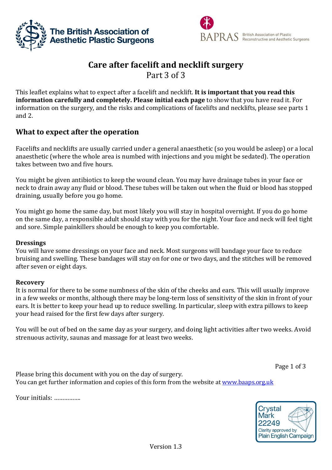



# **Care after facelift and necklift surgery**

Part 3 of 3

This leaflet explains what to expect after a facelift and necklift. **It is important that you read this information carefully and completely. Please initial each page** to show that you have read it. For information on the surgery, and the risks and complications of facelifts and necklifts, please see parts 1 and 2.

# **What to expect after the operation**

Facelifts and necklifts are usually carried under a general anaesthetic (so you would be asleep) or a local anaesthetic (where the whole area is numbed with injections and you might be sedated). The operation takes between two and five hours.

You might be given antibiotics to keep the wound clean. You may have drainage tubes in your face or neck to drain away any fluid or blood. These tubes will be taken out when the fluid or blood has stopped draining, usually before you go home.

You might go home the same day, but most likely you will stay in hospital overnight. If you do go home on the same day, a responsible adult should stay with you for the night. Your face and neck will feel tight and sore. Simple painkillers should be enough to keep you comfortable.

# **Dressings**

You will have some dressings on your face and neck. Most surgeons will bandage your face to reduce bruising and swelling. These bandages will stay on for one or two days, and the stitches will be removed after seven or eight days.

# **Recovery**

It is normal for there to be some numbness of the skin of the cheeks and ears. This will usually improve in a few weeks or months, although there may be long-term loss of sensitivity of the skin in front of your ears. It is better to keep your head up to reduce swelling. In particular, sleep with extra pillows to keep your head raised for the first few days after surgery.

You will be out of bed on the same day as your surgery, and doing light activities after two weeks. Avoid strenuous activity, saunas and massage for at least two weeks.

Page 1 of 3

Please bring this document with you on the day of surgery. You can get further information and copies of this form from the website at [www.baaps.org.uk](http://www.baaps.org.uk/)

Your initials: …………….

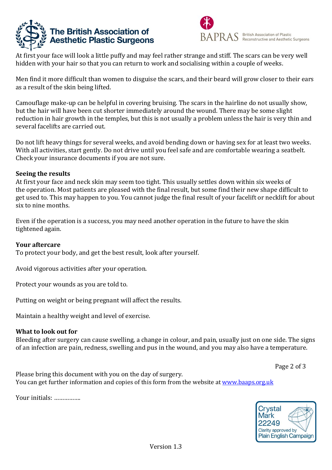



At first your face will look a little puffy and may feel rather strange and stiff. The scars can be very well hidden with your hair so that you can return to work and socialising within a couple of weeks.

Men find it more difficult than women to disguise the scars, and their beard will grow closer to their ears as a result of the skin being lifted.

Camouflage make-up can be helpful in covering bruising. The scars in the hairline do not usually show, but the hair will have been cut shorter immediately around the wound. There may be some slight reduction in hair growth in the temples, but this is not usually a problem unless the hair is very thin and several facelifts are carried out.

Do not lift heavy things for several weeks, and avoid bending down or having sex for at least two weeks. With all activities, start gently. Do not drive until you feel safe and are comfortable wearing a seatbelt. Check your insurance documents if you are not sure.

#### **Seeing the results**

At first your face and neck skin may seem too tight. This usually settles down within six weeks of the operation. Most patients are pleased with the final result, but some find their new shape difficult to get used to. This may happen to you. You cannot judge the final result of your facelift or necklift for about six to nine months.

Even if the operation is a success, you may need another operation in the future to have the skin tightened again.

#### **Your aftercare**

To protect your body, and get the best result, look after yourself.

Avoid vigorous activities after your operation.

Protect your wounds as you are told to.

Putting on weight or being pregnant will affect the results.

Maintain a healthy weight and level of exercise.

# **What to look out for**

Bleeding after surgery can cause swelling, a change in colour, and pain, usually just on one side. The signs of an infection are pain, redness, swelling and pus in the wound, and you may also have a temperature.

Page 2 of 3

Please bring this document with you on the day of surgery. You can get further information and copies of this form from the website at [www.baaps.org.uk](http://www.baaps.org.uk/)

Your initials: …………….